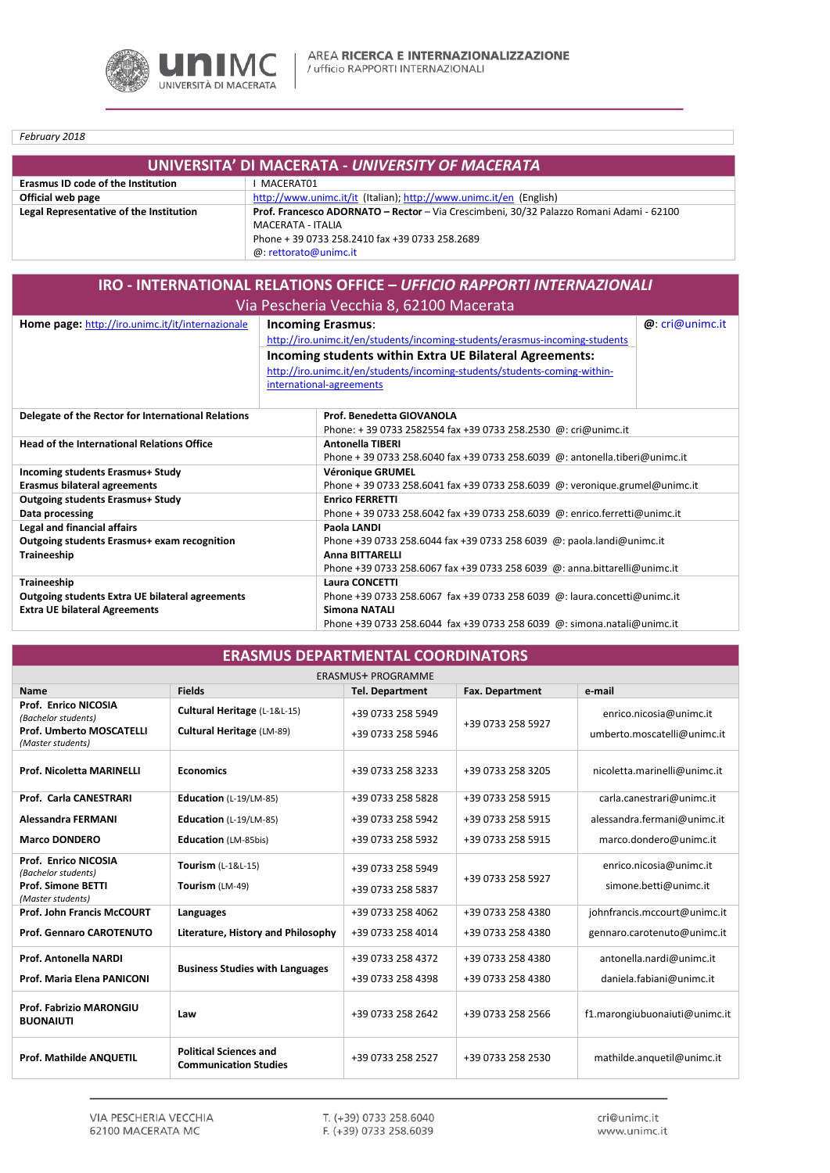

February 2018

| UNIVERSITA' DI MACERATA - UNIVERSITY OF MACERATA |                                                                                         |  |  |  |
|--------------------------------------------------|-----------------------------------------------------------------------------------------|--|--|--|
| <b>Erasmus ID code of the Institution</b>        | MACERAT01                                                                               |  |  |  |
| Official web page                                | http://www.unimc.it/it (Italian); http://www.unimc.it/en (English)                      |  |  |  |
| Legal Representative of the Institution          | Prof. Francesco ADORNATO - Rector - Via Crescimbeni, 30/32 Palazzo Romani Adami - 62100 |  |  |  |
|                                                  | MACERATA - ITALIA                                                                       |  |  |  |
|                                                  | Phone + 39 0733 258.2410 fax +39 0733 258.2689                                          |  |  |  |
|                                                  | @: rettorato@unimc.it                                                                   |  |  |  |

| IRO - INTERNATIONAL RELATIONS OFFICE - UFFICIO RAPPORTI INTERNAZIONALI |                                                                                                                                                                  |                                                                                                        |  |  |  |  |
|------------------------------------------------------------------------|------------------------------------------------------------------------------------------------------------------------------------------------------------------|--------------------------------------------------------------------------------------------------------|--|--|--|--|
| Via Pescheria Vecchia 8, 62100 Macerata                                |                                                                                                                                                                  |                                                                                                        |  |  |  |  |
| Home page: http://iro.unimc.it/it/internazionale                       | <b>Incoming Erasmus:</b><br>http://iro.unimc.it/en/students/incoming-students/erasmus-incoming-students                                                          | Q:cri@unimc.it                                                                                         |  |  |  |  |
|                                                                        | Incoming students within Extra UE Bilateral Agreements:<br>http://iro.unimc.it/en/students/incoming-students/students-coming-within-<br>international-agreements |                                                                                                        |  |  |  |  |
| Delegate of the Rector for International Relations                     |                                                                                                                                                                  | Prof. Benedetta GIOVANOLA<br>Phone: +39 0733 2582554 fax +39 0733 258.2530 @: cri@unimc.it             |  |  |  |  |
| <b>Head of the International Relations Office</b>                      |                                                                                                                                                                  | <b>Antonella TIBERI</b><br>Phone + 39 0733 258.6040 fax +39 0733 258.6039 @: antonella.tiberi@unimc.it |  |  |  |  |
| Incoming students Erasmus+ Study                                       |                                                                                                                                                                  | <b>Véronique GRUMEL</b>                                                                                |  |  |  |  |
| <b>Erasmus bilateral agreements</b>                                    |                                                                                                                                                                  | Phone + 39 0733 258.6041 fax +39 0733 258.6039 @: veronique.grumel@unimc.it                            |  |  |  |  |
| <b>Outgoing students Erasmus+ Study</b>                                |                                                                                                                                                                  | <b>Enrico FERRETTI</b>                                                                                 |  |  |  |  |
| Data processing                                                        |                                                                                                                                                                  | Phone + 39 0733 258.6042 fax +39 0733 258.6039 @: enrico.ferretti@unimc.it                             |  |  |  |  |
| Legal and financial affairs                                            |                                                                                                                                                                  | Paola LANDI                                                                                            |  |  |  |  |
| Outgoing students Erasmus+ exam recognition                            |                                                                                                                                                                  | Phone +39 0733 258.6044 fax +39 0733 258 6039 @: paola.landi@unimc.it                                  |  |  |  |  |
| Traineeship                                                            |                                                                                                                                                                  | <b>Anna BITTARELLI</b>                                                                                 |  |  |  |  |
|                                                                        |                                                                                                                                                                  | Phone +39 0733 258.6067 fax +39 0733 258 6039 @: anna.bittarelli@unimc.it                              |  |  |  |  |
| Traineeship                                                            |                                                                                                                                                                  | <b>Laura CONCETTI</b>                                                                                  |  |  |  |  |
| <b>Outgoing students Extra UE bilateral agreements</b>                 |                                                                                                                                                                  | Phone +39 0733 258.6067 fax +39 0733 258 6039 @: laura.concetti@unimc.it                               |  |  |  |  |
| <b>Extra UE bilateral Agreements</b>                                   |                                                                                                                                                                  | <b>Simona NATALI</b>                                                                                   |  |  |  |  |
|                                                                        |                                                                                                                                                                  | Phone +39 0733 258.6044 fax +39 0733 258 6039 @: simona.natali@unimc.it                                |  |  |  |  |

| <b>ERASMUS DEPARTMENTAL COORDINATORS</b>             |                                                               |                        |                   |                               |  |  |  |  |
|------------------------------------------------------|---------------------------------------------------------------|------------------------|-------------------|-------------------------------|--|--|--|--|
| <b>ERASMUS+ PROGRAMME</b>                            |                                                               |                        |                   |                               |  |  |  |  |
| <b>Name</b>                                          | <b>Fields</b>                                                 | <b>Tel. Department</b> | Fax. Department   | e-mail                        |  |  |  |  |
| Prof. Enrico NICOSIA<br>(Bachelor students)          | Cultural Heritage (L-1&L-15)                                  | +39 0733 258 5949      | +39 0733 258 5927 | enrico.nicosia@unimc.it       |  |  |  |  |
| <b>Prof. Umberto MOSCATELLI</b><br>(Master students) | Cultural Heritage (LM-89)                                     | +39 0733 258 5946      |                   | umberto.moscatelli@unimc.it   |  |  |  |  |
| <b>Prof. Nicoletta MARINELLI</b>                     | <b>Economics</b>                                              | +39 0733 258 3233      | +39 0733 258 3205 | nicoletta.marinelli@unimc.it  |  |  |  |  |
| Prof. Carla CANESTRARI                               | Education (L-19/LM-85)                                        | +39 0733 258 5828      | +39 0733 258 5915 | carla.canestrari@unimc.it     |  |  |  |  |
| Alessandra FERMANI                                   | Education $(L-19/LM-85)$                                      | +39 0733 258 5942      | +39 0733 258 5915 | alessandra.fermani@unimc.it   |  |  |  |  |
| <b>Marco DONDERO</b>                                 | <b>Education</b> (LM-85bis)                                   | +39 0733 258 5932      | +39 0733 258 5915 | marco.dondero@unimc.it        |  |  |  |  |
| Prof. Enrico NICOSIA<br>(Bachelor students)          | Tourism (L-1&L-15)                                            | +39 0733 258 5949      | +39 0733 258 5927 | enrico.nicosia@unimc.it       |  |  |  |  |
| Prof. Simone BETTI<br>(Master students)              | Tourism (LM-49)                                               | +39 0733 258 5837      |                   | simone.betti@unimc.it         |  |  |  |  |
| <b>Prof. John Francis McCOURT</b>                    | Languages                                                     | +39 0733 258 4062      | +39 0733 258 4380 | johnfrancis.mccourt@unimc.it  |  |  |  |  |
| <b>Prof. Gennaro CAROTENUTO</b>                      | Literature, History and Philosophy                            | +39 0733 258 4014      | +39 0733 258 4380 | gennaro.carotenuto@unimc.it   |  |  |  |  |
| Prof. Antonella NARDI                                | <b>Business Studies with Languages</b>                        | +39 0733 258 4372      | +39 0733 258 4380 | antonella.nardi@unimc.it      |  |  |  |  |
| Prof. Maria Elena PANICONI                           |                                                               | +39 0733 258 4398      | +39 0733 258 4380 | daniela.fabiani@unimc.it      |  |  |  |  |
| Prof. Fabrizio MARONGIU<br><b>BUONAIUTI</b>          | Law                                                           | +39 0733 258 2642      | +39 0733 258 2566 | f1.marongiubuonaiuti@unimc.it |  |  |  |  |
| Prof. Mathilde ANQUETIL                              | <b>Political Sciences and</b><br><b>Communication Studies</b> | +39 0733 258 2527      | +39 0733 258 2530 | mathilde.anguetil@unimc.it    |  |  |  |  |